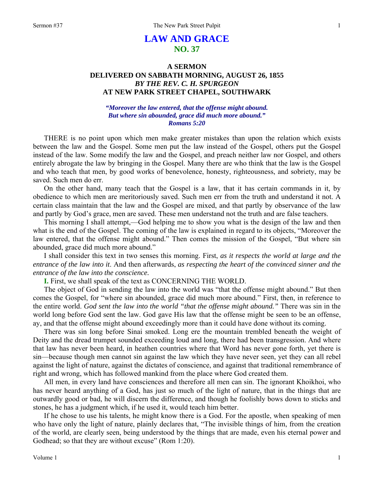# **LAW AND GRACE NO. 37**

# **A SERMON DELIVERED ON SABBATH MORNING, AUGUST 26, 1855**  *BY THE REV. C. H. SPURGEON*  **AT NEW PARK STREET CHAPEL, SOUTHWARK**

# *"Moreover the law entered, that the offense might abound. But where sin abounded, grace did much more abound." Romans 5:20*

THERE is no point upon which men make greater mistakes than upon the relation which exists between the law and the Gospel. Some men put the law instead of the Gospel, others put the Gospel instead of the law. Some modify the law and the Gospel, and preach neither law nor Gospel, and others entirely abrogate the law by bringing in the Gospel. Many there are who think that the law is the Gospel and who teach that men, by good works of benevolence, honesty, righteousness, and sobriety, may be saved. Such men do err.

On the other hand, many teach that the Gospel is a law, that it has certain commands in it, by obedience to which men are meritoriously saved. Such men err from the truth and understand it not. A certain class maintain that the law and the Gospel are mixed, and that partly by observance of the law and partly by God's grace, men are saved. These men understand not the truth and are false teachers.

This morning I shall attempt,—God helping me to show you what is the design of the law and then what is the end of the Gospel. The coming of the law is explained in regard to its objects, "Moreover the law entered, that the offense might abound." Then comes the mission of the Gospel, "But where sin abounded, grace did much more abound."

I shall consider this text in two senses this morning. First, *as it respects the world at large and the entrance of the law into it*. And then afterwards, *as respecting the heart of the convinced sinner and the entrance of the law into the conscience.*

**I.** First, we shall speak of the text as CONCERNING THE WORLD.

The object of God in sending the law into the world was "that the offense might abound." But then comes the Gospel, for "where sin abounded, grace did much more abound." First, then, in reference to the entire world. *God sent the law into the world "that the offense might abound."* There was sin in the world long before God sent the law. God gave His law that the offense might be seen to be an offense, ay, and that the offense might abound exceedingly more than it could have done without its coming.

There was sin long before Sinai smoked. Long ere the mountain trembled beneath the weight of Deity and the dread trumpet sounded exceeding loud and long, there had been transgression. And where that law has never been heard, in heathen countries where that Word has never gone forth, yet there is sin—because though men cannot sin against the law which they have never seen, yet they can all rebel against the light of nature, against the dictates of conscience, and against that traditional remembrance of right and wrong, which has followed mankind from the place where God created them.

All men, in every land have consciences and therefore all men can sin. The ignorant Khoikhoi, who has never heard anything of a God, has just so much of the light of nature, that in the things that are outwardly good or bad, he will discern the difference, and though he foolishly bows down to sticks and stones, he has a judgment which, if he used it, would teach him better.

If he chose to use his talents, he might know there is a God. For the apostle, when speaking of men who have only the light of nature, plainly declares that, "The invisible things of him, from the creation of the world, are clearly seen, being understood by the things that are made, even his eternal power and Godhead; so that they are without excuse" (Rom 1:20).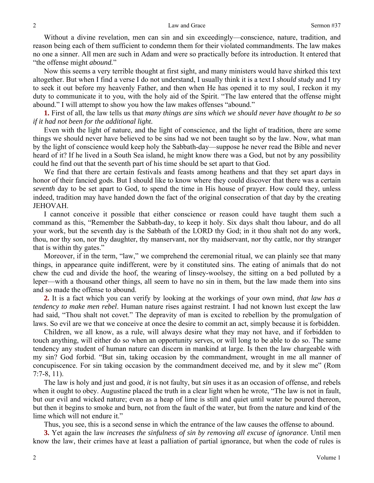### Law and Grace Sermon #37

Without a divine revelation, men can sin and sin exceedingly—conscience, nature, tradition, and reason being each of them sufficient to condemn them for their violated commandments. The law makes no one a sinner. All men are such in Adam and were so practically before its introduction. It entered that "the offense might *abound.*"

Now this seems a very terrible thought at first sight, and many ministers would have shirked this text altogether. But when I find a verse I do not understand, I usually think it is a text I *should* study and I try to seek it out before my heavenly Father, and then when He has opened it to my soul, I reckon it my duty to communicate it to you, with the holy aid of the Spirit. "The law entered that the offense might abound." I will attempt to show you how the law makes offenses "abound."

**1.** First of all, the law tells us that *many things are sins which we should never have thought to be so if it had not been for the additional light.*

Even with the light of nature, and the light of conscience, and the light of tradition, there are some things we should never have believed to be sins had we not been taught so by the law. Now, what man by the light of conscience would keep holy the Sabbath-day—suppose he never read the Bible and never heard of it? If he lived in a South Sea island, he might know there was a God, but not by any possibility could he find out that the seventh part of his time should be set apart to that God.

We find that there are certain festivals and feasts among heathens and that they set apart days in honor of their fancied gods. But I should like to know where they could discover that there was a certain *seventh* day to be set apart to God, to spend the time in His house of prayer. How could they, unless indeed, tradition may have handed down the fact of the original consecration of that day by the creating JEHOVAH.

I cannot conceive it possible that either conscience or reason could have taught them such a command as this, "Remember the Sabbath-day, to keep it holy. Six days shalt thou labour, and do all your work, but the seventh day is the Sabbath of the LORD thy God; in it thou shalt not do any work, thou, nor thy son, nor thy daughter, thy manservant, nor thy maidservant, nor thy cattle, nor thy stranger that is within thy gates."

Moreover, if in the term, "law," we comprehend the ceremonial ritual, we can plainly see that many things, in appearance quite indifferent, were by it constituted sins. The eating of animals that do not chew the cud and divide the hoof, the wearing of linsey-woolsey, the sitting on a bed polluted by a leper—with a thousand other things, all seem to have no sin in them, but the law made them into sins and so made the offense to abound.

**2.** It is a fact which you can verify by looking at the workings of your own mind, *that law has a tendency to make men rebel*. Human nature rises against restraint. I had not known lust except the law had said, "Thou shalt not covet." The depravity of man is excited to rebellion by the promulgation of laws. So evil are we that we conceive at once the desire to commit an act, simply because it is forbidden.

Children, we all know, as a rule, will always desire what they may not have, and if forbidden to touch anything, will either do so when an opportunity serves, or will long to be able to do so. The same tendency any student of human nature can discern in mankind at large. Is then the law chargeable with my sin? God forbid. "But sin, taking occasion by the commandment, wrought in me all manner of concupiscence. For sin taking occasion by the commandment deceived me, and by it slew me" (Rom 7:7-8, 11).

The law is holy and just and good, *it* is not faulty, but *sin* uses it as an occasion of offense, and rebels when it ought to obey. Augustine placed the truth in a clear light when he wrote, "The law is not in fault, but our evil and wicked nature; even as a heap of lime is still and quiet until water be poured thereon, but then it begins to smoke and burn, not from the fault of the water, but from the nature and kind of the lime which will not endure it."

Thus, you see, this is a second sense in which the entrance of the law causes the offense to abound.

**3.** Yet again the law *increases the sinfulness of sin by removing all excuse of ignorance*. Until men know the law, their crimes have at least a palliation of partial ignorance, but when the code of rules is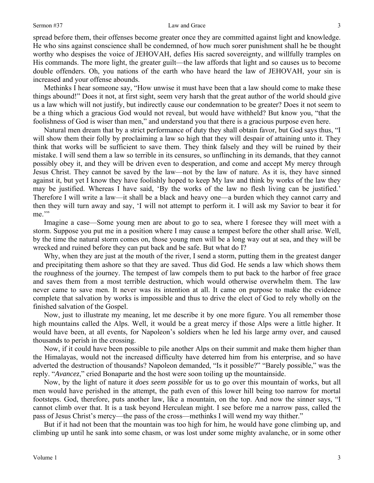### Sermon #37 Law and Grace

spread before them, their offenses become greater once they are committed against light and knowledge. He who sins against conscience shall be condemned, of how much sorer punishment shall he be thought worthy who despises the voice of JEHOVAH, defies His sacred sovereignty, and willfully tramples on His commands. The more light, the greater guilt—the law affords that light and so causes us to become double offenders. Oh, you nations of the earth who have heard the law of JEHOVAH, your sin is increased and your offense abounds.

Methinks I hear someone say, "How unwise it must have been that a law should come to make these things abound!" Does it not, at first sight, seem very harsh that the great author of the world should give us a law which will not justify, but indirectly cause our condemnation to be greater? Does it not seem to be a thing which a gracious God would not reveal, but would have withheld? But know you, "that the foolishness of God is wiser than men," and understand you that there is a gracious purpose even here.

Natural men dream that by a strict performance of duty they shall obtain favor, but God says thus, "I will show them their folly by proclaiming a law so high that they will despair of attaining unto it. They think that works will be sufficient to save them. They think falsely and they will be ruined by their mistake. I will send them a law so terrible in its censures, so unflinching in its demands, that they cannot possibly obey it, and they will be driven even to desperation, and come and accept My mercy through Jesus Christ. They cannot be saved by the law—not by the law of nature. As it is, they have sinned against it, but yet I know they have foolishly hoped to keep My law and think by works of the law they may be justified. Whereas I have said, 'By the works of the law no flesh living can be justified.' Therefore I will write a law—it shall be a black and heavy one—a burden which they cannot carry and then they will turn away and say, 'I will not attempt to perform it. I will ask my Savior to bear it for me."

Imagine a case—Some young men are about to go to sea, where I foresee they will meet with a storm. Suppose you put me in a position where I may cause a tempest before the other shall arise. Well, by the time the natural storm comes on, those young men will be a long way out at sea, and they will be wrecked and ruined before they can put back and be safe. But what do I?

Why, when they are just at the mouth of the river, I send a storm, putting them in the greatest danger and precipitating them ashore so that they are saved. Thus did God. He sends a law which shows them the roughness of the journey. The tempest of law compels them to put back to the harbor of free grace and saves them from a most terrible destruction, which would otherwise overwhelm them. The law never came to save men. It never was its intention at all. It came on purpose to make the evidence complete that salvation by works is impossible and thus to drive the elect of God to rely wholly on the finished salvation of the Gospel.

Now, just to illustrate my meaning, let me describe it by one more figure. You all remember those high mountains called the Alps. Well, it would be a great mercy if those Alps were a little higher. It would have been, at all events, for Napoleon's soldiers when he led his large army over, and caused thousands to perish in the crossing.

Now, if it could have been possible to pile another Alps on their summit and make them higher than the Himalayas, would not the increased difficulty have deterred him from his enterprise, and so have adverted the destruction of thousands? Napoleon demanded, "Is it possible?" "Barely possible," was the reply. "*Avancez*," cried Bonaparte and the host were soon toiling up the mountainside.

Now, by the light of nature it *does seem possible* for us to go over this mountain of works, but all men would have perished in the attempt, the path even of this lower hill being too narrow for mortal footsteps. God, therefore, puts another law, like a mountain, on the top. And now the sinner says, "I cannot climb over that. It is a task beyond Herculean might. I see before me a narrow pass, called the pass of Jesus Christ's mercy—the pass of the cross—methinks I will wend my way thither."

But if it had not been that the mountain was too high for him, he would have gone climbing up, and climbing up until he sank into some chasm, or was lost under some mighty avalanche, or in some other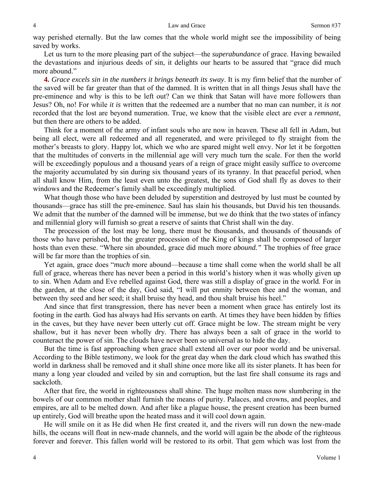way perished eternally. But the law comes that the whole world might see the impossibility of being saved by works.

Let us turn to the more pleasing part of the subject—the *superabundance* of grace. Having bewailed the devastations and injurious deeds of sin, it delights our hearts to be assured that "grace did much more abound."

**4.** *Grace excels sin in the numbers it brings beneath its sway*. It is my firm belief that the number of the saved will be far greater than that of the damned. It is written that in all things Jesus shall have the pre-eminence and why is this to be left out? Can we think that Satan will have more followers than Jesus? Oh, no! For while *it is* written that the redeemed are a number that no man can number, it *is not*  recorded that the lost are beyond numeration. True, we know that the visible elect are ever a *remnant*, but then there are others to be added.

Think for a moment of the army of infant souls who are now in heaven. These all fell in Adam, but being all elect, were all redeemed and all regenerated, and were privileged to fly straight from the mother's breasts to glory. Happy lot, which we who are spared might well envy. Nor let it be forgotten that the multitudes of converts in the millennial age will very much turn the scale. For then the world will be exceedingly populous and a thousand years of a reign of grace might easily suffice to overcome the majority accumulated by sin during six thousand years of its tyranny. In that peaceful period, when all shall know Him, from the least even unto the greatest, the sons of God shall fly as doves to their windows and the Redeemer's family shall be exceedingly multiplied.

What though those who have been deluded by superstition and destroyed by lust must be counted by thousands—grace has still the pre-eminence. Saul has slain his thousands, but David his ten thousands. We admit that the number of the damned will be immense, but we do think that the two states of infancy and millennial glory will furnish so great a reserve of saints that Christ shall win the day.

The procession of the lost may be long, there must be thousands, and thousands of thousands of those who have perished, but the greater procession of the King of kings shall be composed of larger hosts than even these. "Where sin abounded, grace did much more *abound."* The trophies of free grace will be far more than the trophies of sin.

Yet again, grace does "*much* more abound—because a time shall come when the world shall be all full of grace, whereas there has never been a period in this world's history when it was wholly given up to sin. When Adam and Eve rebelled against God, there was still a display of grace in the world. For in the garden, at the close of the day, God said, "I will put enmity between thee and the woman, and between thy seed and her seed; it shall bruise thy head, and thou shalt bruise his heel."

And since that first transgression, there has never been a moment when grace has entirely lost its footing in the earth. God has always had His servants on earth. At times they have been hidden by fifties in the caves, but they have never been utterly cut off. Grace might be low. The stream might be very shallow, but it has never been wholly dry. There has always been a salt of grace in the world to counteract the power of sin. The clouds have never been so universal as to hide the day.

But the time is fast approaching when grace shall extend all over our poor world and be universal. According to the Bible testimony, we look for the great day when the dark cloud which has swathed this world in darkness shall be removed and it shall shine once more like all its sister planets. It has been for many a long year clouded and veiled by sin and corruption, but the last fire shall consume its rags and sackcloth.

After that fire, the world in righteousness shall shine. The huge molten mass now slumbering in the bowels of our common mother shall furnish the means of purity. Palaces, and crowns, and peoples, and empires, are all to be melted down. And after like a plague house, the present creation has been burned up entirely, God will breathe upon the heated mass and it will cool down again.

He will smile on it as He did when He first created it, and the rivers will run down the new-made hills, the oceans will float in new-made channels, and the world will again be the abode of the righteous forever and forever. This fallen world will be restored to its orbit. That gem which was lost from the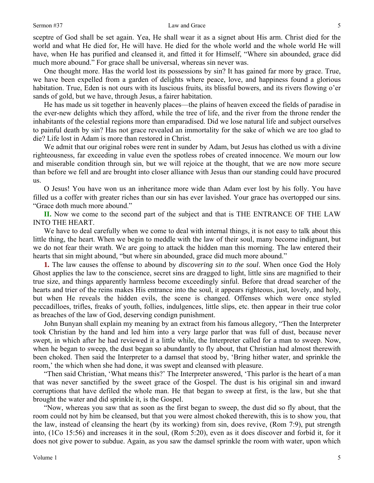### Sermon #37 Law and Grace

sceptre of God shall be set again. Yea, He shall wear it as a signet about His arm. Christ died for the world and what He died for, He will have. He died for the whole world and the whole world He will have, when He has purified and cleansed it, and fitted it for Himself, "Where sin abounded, grace did much more abound." For grace shall be universal, whereas sin never was.

One thought more. Has the world lost its possessions by sin? It has gained far more by grace. True, we have been expelled from a garden of delights where peace, love, and happiness found a glorious habitation. True, Eden is not ours with its luscious fruits, its blissful bowers, and its rivers flowing o'er sands of gold, but we have, through Jesus, a fairer habitation.

He has made us sit together in heavenly places—the plains of heaven exceed the fields of paradise in the ever-new delights which they afford, while the tree of life, and the river from the throne render the inhabitants of the celestial regions more than emparadised. Did we lose natural life and subject ourselves to painful death by sin? Has not grace revealed an immortality for the sake of which we are too glad to die? Life lost in Adam is more than restored in Christ.

We admit that our original robes were rent in sunder by Adam, but Jesus has clothed us with a divine righteousness, far exceeding in value even the spotless robes of created innocence. We mourn our low and miserable condition through sin, but we will rejoice at the thought, that we are now more secure than before we fell and are brought into closer alliance with Jesus than our standing could have procured us.

O Jesus! You have won us an inheritance more wide than Adam ever lost by his folly. You have filled us a coffer with greater riches than our sin has ever lavished. Your grace has overtopped our sins. "Grace doth much more abound."

**II.** Now we come to the second part of the subject and that is THE ENTRANCE OF THE LAW INTO THE HEART.

We have to deal carefully when we come to deal with internal things, it is not easy to talk about this little thing, the heart. When we begin to meddle with the law of their soul, many become indignant, but we do not fear their wrath. We are going to attack the hidden man this morning. The law entered their hearts that sin might abound, "but where sin abounded, grace did much more abound."

**1.** The law causes the offense to abound by *discovering sin to the soul*. When once God the Holy Ghost applies the law to the conscience, secret sins are dragged to light, little sins are magnified to their true size, and things apparently harmless become exceedingly sinful. Before that dread searcher of the hearts and trier of the reins makes His entrance into the soul, it appears righteous, just, lovely, and holy, but when He reveals the hidden evils, the scene is changed. Offenses which were once styled peccadilloes, trifles, freaks of youth, follies, indulgences, little slips, etc. then appear in their true color as breaches of the law of God, deserving condign punishment.

John Bunyan shall explain my meaning by an extract from his famous allegory, "Then the Interpreter took Christian by the hand and led him into a very large parlor that was full of dust, because never swept, in which after he had reviewed it a little while, the Interpreter called for a man to sweep. Now, when he began to sweep, the dust began so abundantly to fly about, that Christian had almost therewith been choked. Then said the Interpreter to a damsel that stood by, 'Bring hither water, and sprinkle the room,' the which when she had done, it was swept and cleansed with pleasure.

"Then said Christian, 'What means this?' The Interpreter answered, 'This parlor is the heart of a man that was never sanctified by the sweet grace of the Gospel. The dust is his original sin and inward corruptions that have defiled the whole man. He that began to sweep at first, is the law, but she that brought the water and did sprinkle it, is the Gospel.

"Now, whereas you saw that as soon as the first began to sweep, the dust did so fly about, that the room could not by him be cleansed, but that you were almost choked therewith, this is to show you, that the law, instead of cleansing the heart (by its working) from sin, does revive, (Rom 7:9), put strength into, (1Co 15:56) and increases it in the soul, (Rom 5:20), even as it does discover and forbid it, for it does not give power to subdue. Again, as you saw the damsel sprinkle the room with water, upon which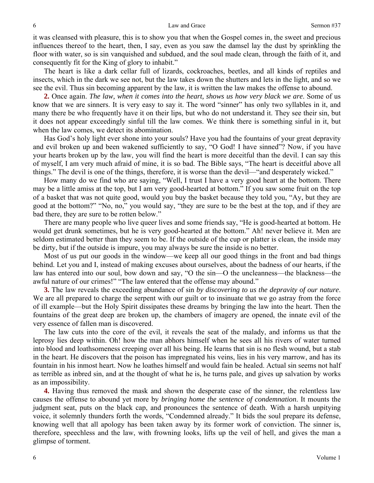it was cleansed with pleasure, this is to show you that when the Gospel comes in, the sweet and precious influences thereof to the heart, then, I say, even as you saw the damsel lay the dust by sprinkling the floor with water, so is sin vanquished and subdued, and the soul made clean, through the faith of it, and consequently fit for the King of glory to inhabit."

The heart is like a dark cellar full of lizards, cockroaches, beetles, and all kinds of reptiles and insects, which in the dark we see not, but the law takes down the shutters and lets in the light, and so we see the evil. Thus sin becoming apparent by the law, it is written the law makes the offense to abound.

**2.** Once again. *The law, when it comes into the heart, shows us how very black we are*. Some of us know that we are sinners. It is very easy to say it. The word "sinner" has only two syllables in it, and many there be who frequently have it on their lips, but who do not understand it. They see their sin, but it does not appear exceedingly sinful till the law comes. We think there is something sinful in it, but when the law comes, we detect its abomination.

Has God's holy light ever shone into your souls? Have you had the fountains of your great depravity and evil broken up and been wakened sufficiently to say, "O God! I have sinned"? Now, if you have your hearts broken up by the law, you will find the heart is more deceitful than the devil. I can say this of myself, I am very much afraid of mine, it is so bad. The Bible says, "The heart is deceitful above all things." The devil is one of the things, therefore, it is worse than the devil—"and desperately wicked."

How many do we find who are saying, "Well, I trust I have a very good heart at the bottom. There may be a little amiss at the top, but I am very good-hearted at bottom." If you saw some fruit on the top of a basket that was not quite good, would you buy the basket because they told you, "Ay, but they are good at the bottom?" "No, no," you would say, "they are sure to be the best at the top, and if they are bad there, they are sure to be rotten below."

There are many people who live queer lives and some friends say, "He is good-hearted at bottom. He would get drunk sometimes, but he is very good-hearted at the bottom." Ah! never believe it. Men are seldom estimated better than they seem to be. If the outside of the cup or platter is clean, the inside may be dirty, but if the outside is impure, you may always be sure the inside is no better.

Most of us put our goods in the window—we keep all our good things in the front and bad things behind. Let you and I, instead of making excuses about ourselves, about the badness of our hearts, if the law has entered into our soul, bow down and say, "O the sin—O the uncleanness—the blackness—the awful nature of our crimes!" "The law entered that the offense may abound."

**3.** The law reveals the exceeding abundance of sin *by discovering to us the depravity of our nature*. We are all prepared to charge the serpent with our guilt or to insinuate that we go astray from the force of ill example—but the Holy Spirit dissipates these dreams by bringing the law into the heart. Then the fountains of the great deep are broken up, the chambers of imagery are opened, the innate evil of the very essence of fallen man is discovered.

The law cuts into the core of the evil, it reveals the seat of the malady, and informs us that the leprosy lies deep within. Oh! how the man abhors himself when he sees all his rivers of water turned into blood and loathsomeness creeping over all his being. He learns that sin is no flesh wound, but a stab in the heart. He discovers that the poison has impregnated his veins, lies in his very marrow, and has its fountain in his inmost heart. Now he loathes himself and would fain be healed. Actual sin seems not half as terrible as inbred sin, and at the thought of what he is, he turns pale, and gives up salvation by works as an impossibility.

**4.** Having thus removed the mask and shown the desperate case of the sinner, the relentless law causes the offense to abound yet more by *bringing home the sentence of condemnation*. It mounts the judgment seat, puts on the black cap, and pronounces the sentence of death. With a harsh unpitying voice, it solemnly thunders forth the words, "Condemned already." It bids the soul prepare its defense, knowing well that all apology has been taken away by its former work of conviction. The sinner is, therefore, speechless and the law, with frowning looks, lifts up the veil of hell, and gives the man a glimpse of torment.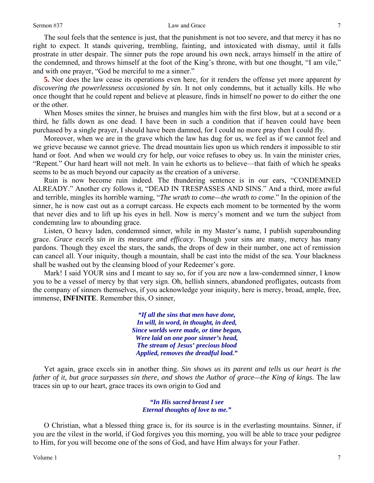The soul feels that the sentence is just, that the punishment is not too severe, and that mercy it has no right to expect. It stands quivering, trembling, fainting, and intoxicated with dismay, until it falls prostrate in utter despair. The sinner puts the rope around his own neck, arrays himself in the attire of the condemned, and throws himself at the foot of the King's throne, with but one thought, "I am vile," and with one prayer, "God be merciful to me a sinner."

**5.** Nor does the law cease its operations even here, for it renders the offense yet more apparent *by discovering the powerlessness occasioned by sin.* It not only condemns, but it actually kills. He who once thought that he could repent and believe at pleasure, finds in himself no power to do either the one or the other.

When Moses smites the sinner, he bruises and mangles him with the first blow, but at a second or a third, he falls down as one dead. I have been in such a condition that if heaven could have been purchased by a single prayer, I should have been damned, for I could no more pray then I could fly.

Moreover, when we are in the grave which the law has dug for us, we feel as if we cannot feel and we grieve because we cannot grieve. The dread mountain lies upon us which renders it impossible to stir hand or foot. And when we would cry for help, our voice refuses to obey us. In vain the minister cries, "Repent." Our hard heart will not melt. In vain he exhorts us to believe—that faith of which he speaks seems to be as much beyond our capacity as the creation of a universe.

Ruin is now become ruin indeed. The thundering sentence is in our ears, "CONDEMNED ALREADY." Another cry follows it, "DEAD IN TRESPASSES AND SINS." And a third, more awful and terrible, mingles its horrible warning, "*The wrath to come—the wrath to come*." In the opinion of the sinner, he is now cast out as a corrupt carcass. He expects each moment to be tormented by the worm that never dies and to lift up his eyes in hell. Now is mercy's moment and we turn the subject from condemning law to abounding grace.

Listen, O heavy laden, condemned sinner, while in my Master's name, I publish superabounding grace. *Grace excels sin in its measure and efficacy*. Though your sins are many, mercy has many pardons. Though they excel the stars, the sands, the drops of dew in their number, one act of remission can cancel all. Your iniquity, though a mountain, shall be cast into the midst of the sea. Your blackness shall be washed out by the cleansing blood of your Redeemer's gore.

Mark! I said YOUR sins and I meant to say so, for if you are now a law-condemned sinner, I know you to be a vessel of mercy by that very sign. Oh, hellish sinners, abandoned profligates, outcasts from the company of sinners themselves, if you acknowledge your iniquity, here is mercy, broad, ample, free, immense, **INFINITE**. Remember this, O sinner,

> *"If all the sins that men have done, In will, in word, in thought, in deed, Since worlds were made, or time began, Were laid on one poor sinner's head, The stream of Jesus' precious blood Applied, removes the dreadful load."*

Yet again, grace excels sin in another thing. *Sin shows us its parent and tells us our heart is the father of it, but grace surpasses sin there, and shows the Author of grace—the King of kings.* The law traces sin up to our heart, grace traces its own origin to God and

# *"In His sacred breast I see Eternal thoughts of love to me."*

O Christian, what a blessed thing grace is, for its source is in the everlasting mountains. Sinner, if you are the vilest in the world, if God forgives you this morning, you will be able to trace your pedigree to Him, for you will become one of the sons of God, and have Him always for your Father.

7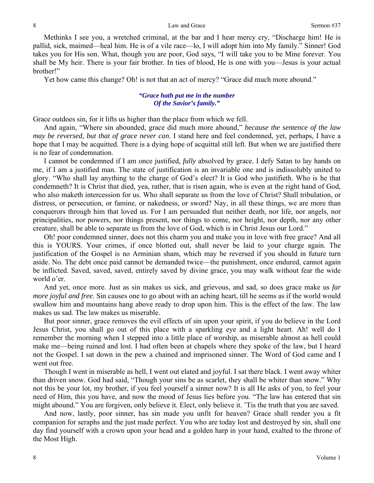Methinks I see you, a wretched criminal, at the bar and I hear mercy cry, "Discharge him! He is pallid, sick, maimed—heal him. He is of a vile race—lo, I will adopt him into My family." Sinner! God takes you for His son. What, though you are poor, God says, "I will take you to be Mine forever. You shall be My heir. There is your fair brother. In ties of blood, He is one with you—Jesus is your actual brother!"

Yet how came this change? Oh! is not that an act of mercy? "Grace did much more abound."

# *"Grace hath put me in the number Of the Savior's family."*

Grace outdoes sin, for it lifts us higher than the place from which we fell.

And again, "Where sin abounded, grace did much more abound," *because the sentence of the law may be reversed, but that of grace never can*. I stand here and feel condemned, yet, perhaps, I have a hope that I may be acquitted. There is a dying hope of acquittal still left. But when we are justified there is no fear of condemnation.

I cannot be condemned if I am once justified, *fully* absolved by grace. I defy Satan to lay hands on me, if I am a justified man. The state of justification is an invariable one and is indissolubly united to glory. "Who shall lay anything to the charge of God's elect? It is God who justifieth. Who is he that condemneth? It is Christ that died, yea, rather, that is risen again, who is even at the right hand of God, who also maketh intercession for us. Who shall separate us from the love of Christ? Shall tribulation, or distress, or persecution, or famine, or nakedness, or sword? Nay, in all these things, we are more than conquerors through him that loved us. For I am persuaded that neither death, nor life, nor angels, nor principalities, nor powers, nor things present, nor things to come, nor height, nor depth, nor any other creature, shall be able to separate us from the love of God, which is in Christ Jesus our Lord."

Oh! poor condemned sinner, does not this charm you and make you in love with free grace? And all this is YOURS. Your crimes, if once blotted out, shall never be laid to your charge again. The justification of the Gospel is no Arminian sham, which may be reversed if you should in future turn aside. No. The debt once paid cannot be demanded twice—the punishment, once endured, cannot again be inflicted. Saved, saved, saved, entirely saved by divine grace, you may walk without fear the wide world o'er.

And yet, once more. Just as sin makes us sick, and grievous, and sad, so does grace make us *far more joyful and free*. Sin causes one to go about with an aching heart, till he seems as if the world would swallow him and mountains hang above ready to drop upon him. This is the effect of the law. The law makes us sad. The law makes us miserable.

But poor sinner, grace removes the evil effects of sin upon your spirit, if you do believe in the Lord Jesus Christ, you shall go out of this place with a sparkling eye and a light heart. Ah! well do I remember the morning when I stepped into a little place of worship, as miserable almost as hell could make me—being ruined and lost. I had often been at chapels where they spoke of the law, but I heard not the Gospel. I sat down in the pew a chained and imprisoned sinner. The Word of God came and I went out free.

Though I went in miserable as hell, I went out elated and joyful. I sat there black. I went away whiter than driven snow. God had said, "Though your sins be as scarlet, they shall be whiter than snow." Why not this be your lot, my brother, if you feel yourself a sinner now? It is all He asks of you, to feel your need of Him, this you have, and now the mood of Jesus lies before you. "The law has entered that sin might abound." You are forgiven, only believe it. Elect, only believe it. 'Tis the truth that you are saved.

And now, lastly, poor sinner, has sin made you unfit for heaven? Grace shall render you a fit companion for seraphs and the just made perfect. You who are today lost and destroyed by sin, shall one day find yourself with a crown upon your head and a golden harp in your hand, exalted to the throne of the Most High.